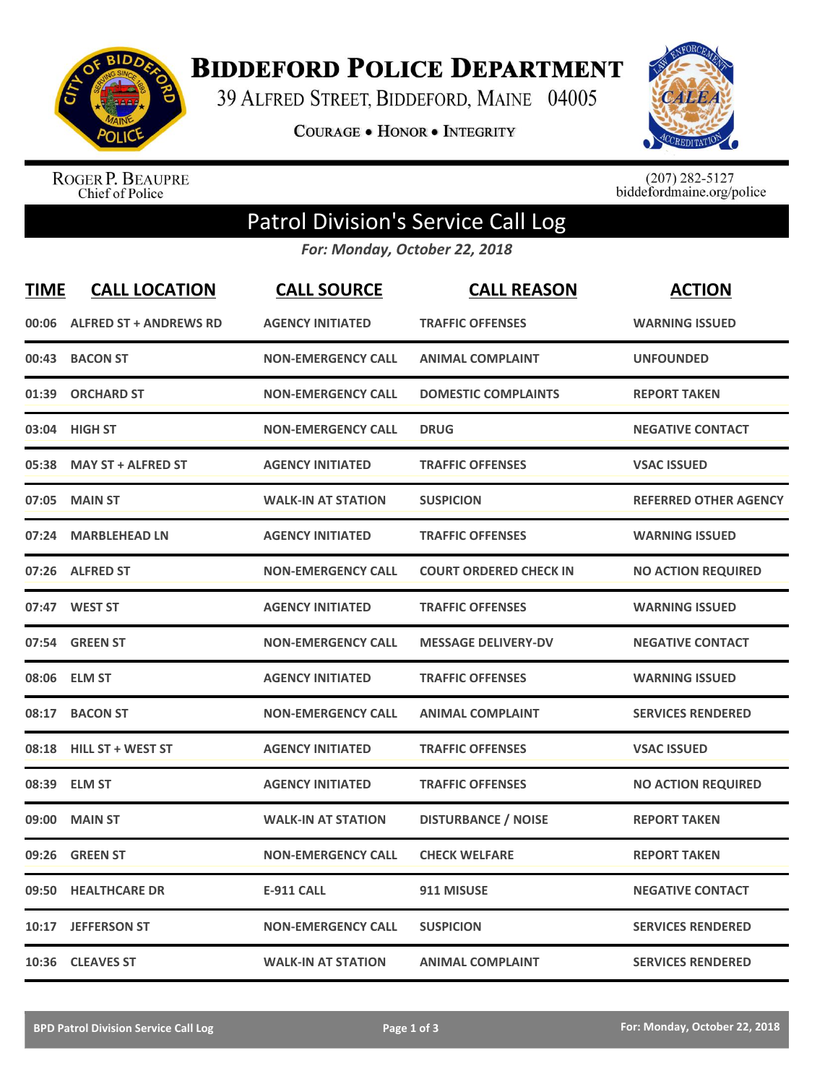

**BIDDEFORD POLICE DEPARTMENT** 

39 ALFRED STREET, BIDDEFORD, MAINE 04005

COURAGE . HONOR . INTEGRITY



ROGER P. BEAUPRE<br>Chief of Police

 $(207)$  282-5127<br>biddefordmaine.org/police

## Patrol Division's Service Call Log

*For: Monday, October 22, 2018*

| <b>TIME</b> | <b>CALL LOCATION</b>          | <b>CALL SOURCE</b>        | <b>CALL REASON</b>            | <b>ACTION</b>                |
|-------------|-------------------------------|---------------------------|-------------------------------|------------------------------|
| 00:06       | <b>ALFRED ST + ANDREWS RD</b> | <b>AGENCY INITIATED</b>   | <b>TRAFFIC OFFENSES</b>       | <b>WARNING ISSUED</b>        |
| 00:43       | <b>BACON ST</b>               | <b>NON-EMERGENCY CALL</b> | <b>ANIMAL COMPLAINT</b>       | <b>UNFOUNDED</b>             |
| 01:39       | <b>ORCHARD ST</b>             | <b>NON-EMERGENCY CALL</b> | <b>DOMESTIC COMPLAINTS</b>    | <b>REPORT TAKEN</b>          |
| 03:04       | <b>HIGH ST</b>                | <b>NON-EMERGENCY CALL</b> | <b>DRUG</b>                   | <b>NEGATIVE CONTACT</b>      |
| 05:38       | <b>MAY ST + ALFRED ST</b>     | <b>AGENCY INITIATED</b>   | <b>TRAFFIC OFFENSES</b>       | <b>VSAC ISSUED</b>           |
| 07:05       | <b>MAIN ST</b>                | <b>WALK-IN AT STATION</b> | <b>SUSPICION</b>              | <b>REFERRED OTHER AGENCY</b> |
| 07:24       | <b>MARBLEHEAD LN</b>          | <b>AGENCY INITIATED</b>   | <b>TRAFFIC OFFENSES</b>       | <b>WARNING ISSUED</b>        |
| 07:26       | <b>ALFRED ST</b>              | <b>NON-EMERGENCY CALL</b> | <b>COURT ORDERED CHECK IN</b> | <b>NO ACTION REQUIRED</b>    |
| 07:47       | <b>WEST ST</b>                | <b>AGENCY INITIATED</b>   | <b>TRAFFIC OFFENSES</b>       | <b>WARNING ISSUED</b>        |
| 07:54       | <b>GREEN ST</b>               | <b>NON-EMERGENCY CALL</b> | <b>MESSAGE DELIVERY-DV</b>    | <b>NEGATIVE CONTACT</b>      |
| 08:06       | <b>ELM ST</b>                 | <b>AGENCY INITIATED</b>   | <b>TRAFFIC OFFENSES</b>       | <b>WARNING ISSUED</b>        |
| 08:17       | <b>BACON ST</b>               | <b>NON-EMERGENCY CALL</b> | <b>ANIMAL COMPLAINT</b>       | <b>SERVICES RENDERED</b>     |
| 08:18       | <b>HILL ST + WEST ST</b>      | <b>AGENCY INITIATED</b>   | <b>TRAFFIC OFFENSES</b>       | <b>VSAC ISSUED</b>           |
| 08:39       | <b>ELM ST</b>                 | <b>AGENCY INITIATED</b>   | <b>TRAFFIC OFFENSES</b>       | <b>NO ACTION REQUIRED</b>    |
| 09:00       | <b>MAIN ST</b>                | <b>WALK-IN AT STATION</b> | <b>DISTURBANCE / NOISE</b>    | <b>REPORT TAKEN</b>          |
| 09:26       | <b>GREEN ST</b>               | <b>NON-EMERGENCY CALL</b> | <b>CHECK WELFARE</b>          | <b>REPORT TAKEN</b>          |
| 09:50       | <b>HEALTHCARE DR</b>          | E-911 CALL                | 911 MISUSE                    | <b>NEGATIVE CONTACT</b>      |
| 10:17       | <b>JEFFERSON ST</b>           | <b>NON-EMERGENCY CALL</b> | <b>SUSPICION</b>              | <b>SERVICES RENDERED</b>     |
| 10:36       | <b>CLEAVES ST</b>             | <b>WALK-IN AT STATION</b> | <b>ANIMAL COMPLAINT</b>       | <b>SERVICES RENDERED</b>     |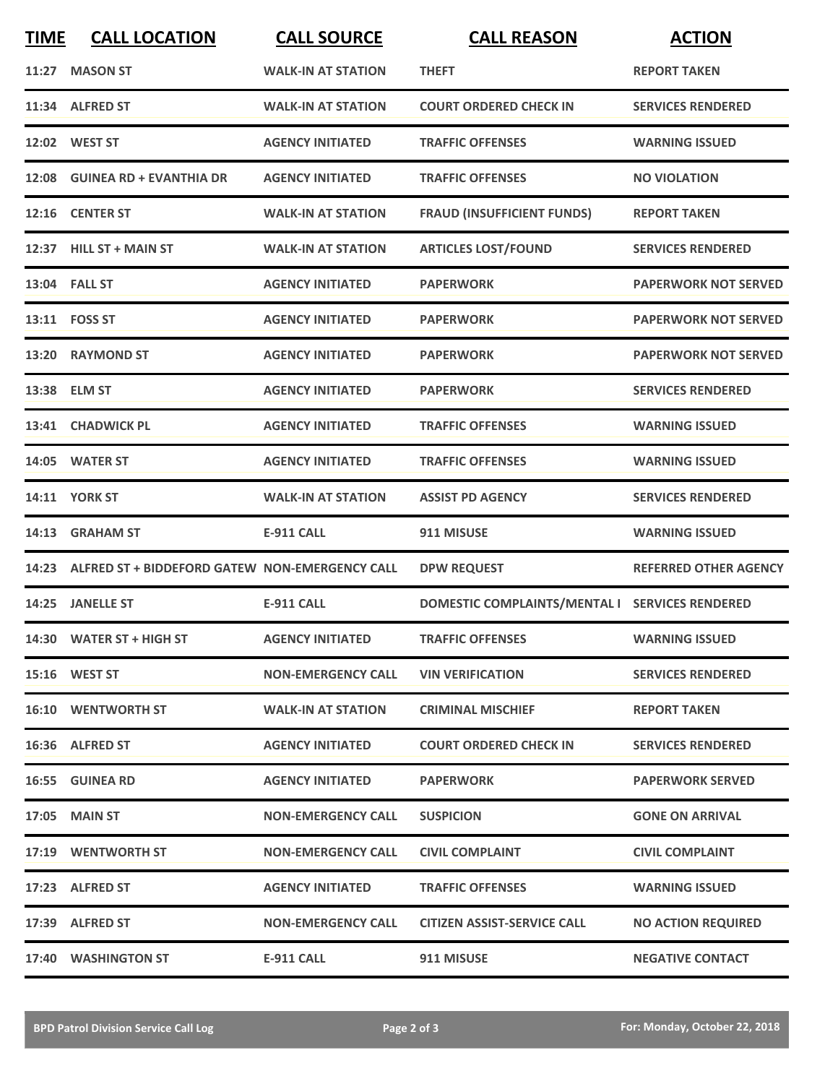| <b>TIME</b> | <b>CALL LOCATION</b>                           | <b>CALL SOURCE</b>        | <b>CALL REASON</b>                             | <b>ACTION</b>                |
|-------------|------------------------------------------------|---------------------------|------------------------------------------------|------------------------------|
| 11:27       | <b>MASON ST</b>                                | <b>WALK-IN AT STATION</b> | <b>THEFT</b>                                   | <b>REPORT TAKEN</b>          |
|             | 11:34 ALFRED ST                                | <b>WALK-IN AT STATION</b> | <b>COURT ORDERED CHECK IN</b>                  | <b>SERVICES RENDERED</b>     |
|             | 12:02 WEST ST                                  | <b>AGENCY INITIATED</b>   | <b>TRAFFIC OFFENSES</b>                        | <b>WARNING ISSUED</b>        |
|             | 12:08 GUINEA RD + EVANTHIA DR                  | <b>AGENCY INITIATED</b>   | <b>TRAFFIC OFFENSES</b>                        | <b>NO VIOLATION</b>          |
|             | 12:16 CENTER ST                                | <b>WALK-IN AT STATION</b> | <b>FRAUD (INSUFFICIENT FUNDS)</b>              | <b>REPORT TAKEN</b>          |
|             | 12:37 HILL ST + MAIN ST                        | <b>WALK-IN AT STATION</b> | <b>ARTICLES LOST/FOUND</b>                     | <b>SERVICES RENDERED</b>     |
|             | 13:04 FALL ST                                  | <b>AGENCY INITIATED</b>   | <b>PAPERWORK</b>                               | <b>PAPERWORK NOT SERVED</b>  |
|             | 13:11 FOSS ST                                  | <b>AGENCY INITIATED</b>   | <b>PAPERWORK</b>                               | <b>PAPERWORK NOT SERVED</b>  |
| 13:20       | <b>RAYMOND ST</b>                              | <b>AGENCY INITIATED</b>   | <b>PAPERWORK</b>                               | <b>PAPERWORK NOT SERVED</b>  |
|             | 13:38 ELM ST                                   | <b>AGENCY INITIATED</b>   | <b>PAPERWORK</b>                               | <b>SERVICES RENDERED</b>     |
|             | 13:41 CHADWICK PL                              | <b>AGENCY INITIATED</b>   | <b>TRAFFIC OFFENSES</b>                        | <b>WARNING ISSUED</b>        |
|             | 14:05 WATER ST                                 | <b>AGENCY INITIATED</b>   | <b>TRAFFIC OFFENSES</b>                        | <b>WARNING ISSUED</b>        |
|             | 14:11 YORK ST                                  | <b>WALK-IN AT STATION</b> | <b>ASSIST PD AGENCY</b>                        | <b>SERVICES RENDERED</b>     |
| 14:13       | <b>GRAHAM ST</b>                               | <b>E-911 CALL</b>         | 911 MISUSE                                     | <b>WARNING ISSUED</b>        |
| 14:23       | ALFRED ST + BIDDEFORD GATEW NON-EMERGENCY CALL |                           | <b>DPW REQUEST</b>                             | <b>REFERRED OTHER AGENCY</b> |
|             | 14:25 JANELLE ST                               | <b>E-911 CALL</b>         | DOMESTIC COMPLAINTS/MENTAL I SERVICES RENDERED |                              |
|             | 14:30 WATER ST + HIGH ST                       | <b>AGENCY INITIATED</b>   | <b>TRAFFIC OFFENSES</b>                        | <b>WARNING ISSUED</b>        |
|             | 15:16 WEST ST                                  | <b>NON-EMERGENCY CALL</b> | <b>VIN VERIFICATION</b>                        | <b>SERVICES RENDERED</b>     |
|             | <b>16:10 WENTWORTH ST</b>                      | <b>WALK-IN AT STATION</b> | <b>CRIMINAL MISCHIEF</b>                       | <b>REPORT TAKEN</b>          |
|             | 16:36 ALFRED ST                                | <b>AGENCY INITIATED</b>   | <b>COURT ORDERED CHECK IN</b>                  | <b>SERVICES RENDERED</b>     |
|             | 16:55 GUINEA RD                                | <b>AGENCY INITIATED</b>   | <b>PAPERWORK</b>                               | <b>PAPERWORK SERVED</b>      |
|             | 17:05 MAIN ST                                  | <b>NON-EMERGENCY CALL</b> | <b>SUSPICION</b>                               | <b>GONE ON ARRIVAL</b>       |
|             | 17:19 WENTWORTH ST                             | <b>NON-EMERGENCY CALL</b> | <b>CIVIL COMPLAINT</b>                         | <b>CIVIL COMPLAINT</b>       |
|             | 17:23 ALFRED ST                                | <b>AGENCY INITIATED</b>   | <b>TRAFFIC OFFENSES</b>                        | <b>WARNING ISSUED</b>        |
|             | 17:39 ALFRED ST                                | <b>NON-EMERGENCY CALL</b> | <b>CITIZEN ASSIST-SERVICE CALL</b>             | <b>NO ACTION REQUIRED</b>    |
|             | 17:40 WASHINGTON ST                            | E-911 CALL                | 911 MISUSE                                     | <b>NEGATIVE CONTACT</b>      |